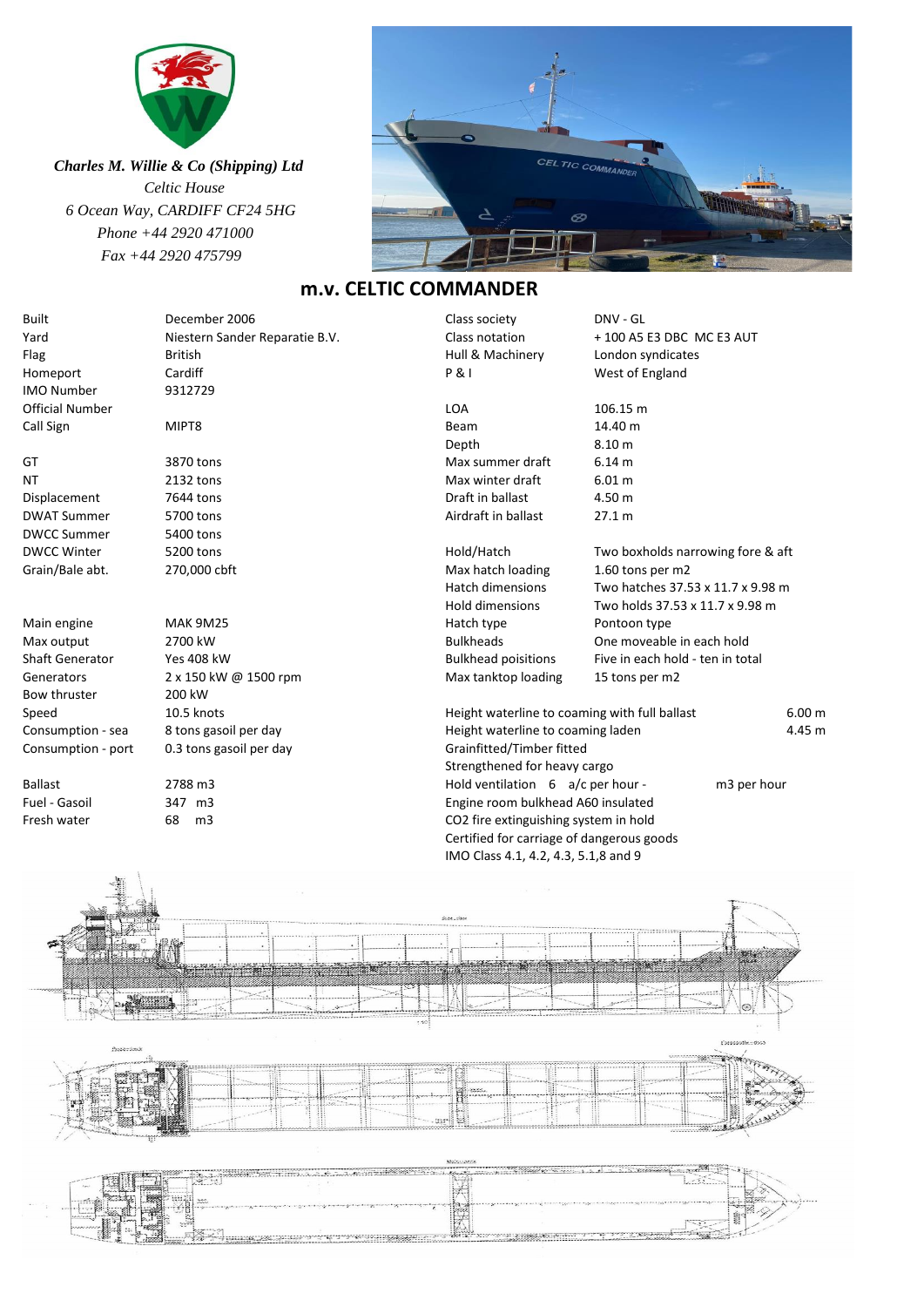

 *Charles M. Willie & Co (Shipping) Ltd Celtic House 6 Ocean Way, CARDIFF CF24 5HG Phone +44 2920 471000 Fax +44 2920 475799*



## **m.v. CELTIC COMMANDER**

| <b>Built</b>           | December 2006                  |       | Class society                                 | DNV - GL                          |                   |
|------------------------|--------------------------------|-------|-----------------------------------------------|-----------------------------------|-------------------|
| Yard                   | Niestern Sander Reparatie B.V. |       | Class notation                                | + 100 A5 E3 DBC MC E3 AUT         |                   |
| Flag                   | <b>British</b>                 |       | Hull & Machinery                              | London syndicates                 |                   |
| Homeport               | Cardiff                        |       | <b>P&amp;I</b>                                | West of England                   |                   |
| <b>IMO Number</b>      | 9312729                        |       |                                               |                                   |                   |
| <b>Official Number</b> |                                |       | <b>LOA</b>                                    | 106.15 m                          |                   |
| Call Sign              | MIPT8                          |       | Beam                                          | 14.40 m                           |                   |
|                        |                                |       | Depth                                         | 8.10 <sub>m</sub>                 |                   |
| GT                     | 3870 tons                      |       | Max summer draft                              | 6.14 m                            |                   |
| ΝT                     | 2132 tons                      |       | Max winter draft                              | 6.01 m                            |                   |
| Displacement           | 7644 tons                      |       | Draft in ballast                              | 4.50 m                            |                   |
| <b>DWAT Summer</b>     | 5700 tons                      |       | Airdraft in ballast                           | 27.1 m                            |                   |
| <b>DWCC Summer</b>     | 5400 tons                      |       |                                               |                                   |                   |
| <b>DWCC Winter</b>     | 5200 tons                      |       | Hold/Hatch                                    | Two boxholds narrowing fore & aft |                   |
| Grain/Bale abt.        | 270,000 cbft                   |       | Max hatch loading                             | 1.60 tons per m2                  |                   |
|                        |                                |       | <b>Hatch dimensions</b>                       | Two hatches 37.53 x 11.7 x 9.98 m |                   |
|                        |                                |       | Hold dimensions                               | Two holds 37.53 x 11.7 x 9.98 m   |                   |
| Main engine            | <b>MAK 9M25</b>                |       | Hatch type                                    | Pontoon type                      |                   |
| Max output             | 2700 kW                        |       | <b>Bulkheads</b>                              | One moveable in each hold         |                   |
| <b>Shaft Generator</b> | <b>Yes 408 kW</b>              |       | <b>Bulkhead poisitions</b>                    | Five in each hold - ten in total  |                   |
| Generators             | 2 x 150 kW @ 1500 rpm          |       | Max tanktop loading                           | 15 tons per m2                    |                   |
| Bow thruster           | 200 kW                         |       |                                               |                                   |                   |
| Speed                  | 10.5 knots                     |       | Height waterline to coaming with full ballast |                                   | 6.00 m            |
| Consumption - sea      | 8 tons gasoil per day          |       | Height waterline to coaming laden<br>4.45 m   |                                   |                   |
| Consumption - port     | 0.3 tons gasoil per day        |       | Grainfitted/Timber fitted                     |                                   |                   |
|                        |                                |       | Strengthened for heavy cargo                  |                                   |                   |
| Ballast                | 2788 m3                        |       | Hold ventilation 6 a/c per hour -             |                                   | m3 per hour       |
| Fuel - Gasoil          | 347 m3                         |       | Engine room bulkhead A60 insulated            |                                   |                   |
| Fresh water            | 68<br>m3                       |       | CO2 fire extinguishing system in hold         |                                   |                   |
|                        |                                |       | Certified for carriage of dangerous goods     |                                   |                   |
|                        |                                |       | IMO Class 4.1, 4.2, 4.3, 5.1,8 and 9          |                                   |                   |
|                        |                                |       |                                               |                                   |                   |
|                        |                                |       |                                               |                                   |                   |
|                        |                                |       |                                               |                                   |                   |
|                        |                                |       |                                               |                                   |                   |
|                        |                                |       |                                               |                                   |                   |
|                        |                                |       |                                               |                                   |                   |
|                        |                                |       |                                               |                                   |                   |
|                        |                                |       |                                               |                                   | ⊗                 |
|                        |                                | $-50$ |                                               |                                   |                   |
|                        |                                |       |                                               |                                   | Consequently-0005 |
| <b>Processing</b>      |                                |       |                                               | and contact the second            |                   |
|                        |                                |       |                                               |                                   |                   |
|                        |                                |       |                                               |                                   |                   |
|                        | ŝ                              |       |                                               |                                   |                   |
|                        |                                |       | tear                                          |                                   |                   |

 $\sum_{i=1}^{\infty}$ X R  $\widetilde{\mathcal{L}}$  $\leq$  , where  $\geq$ × **The Company's Service**